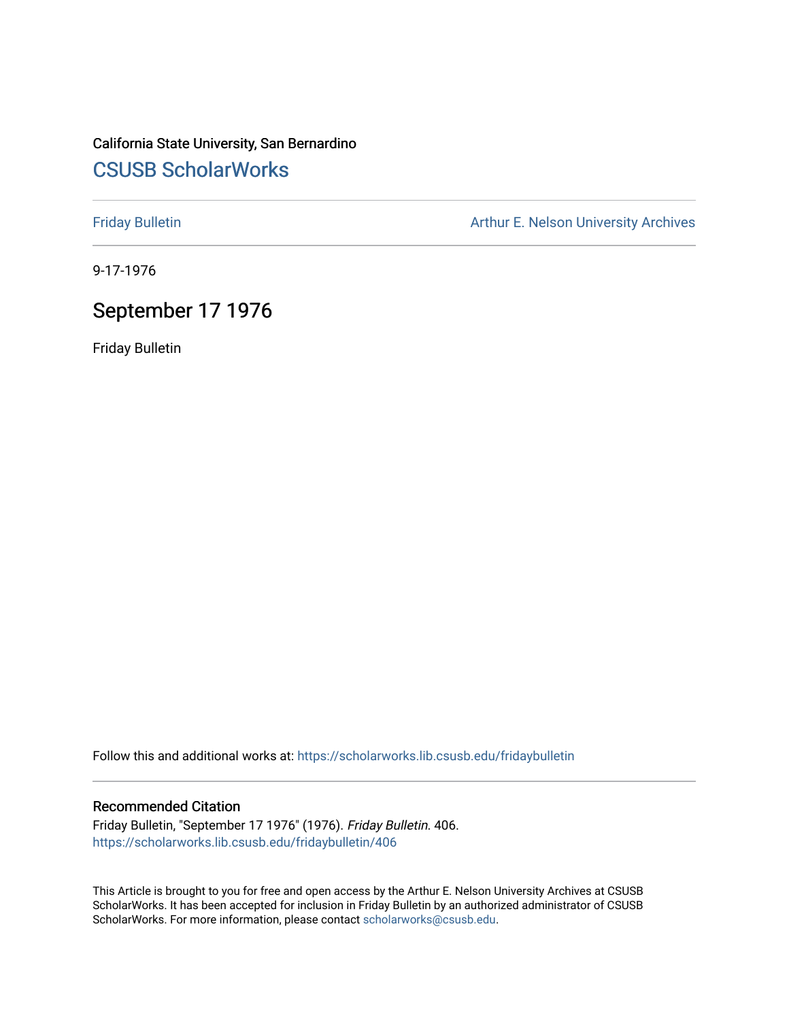## California State University, San Bernardino [CSUSB ScholarWorks](https://scholarworks.lib.csusb.edu/)

[Friday Bulletin](https://scholarworks.lib.csusb.edu/fridaybulletin) **Arthur E. Nelson University Archives** Arthur E. Nelson University Archives

9-17-1976

## September 17 1976

Friday Bulletin

Follow this and additional works at: [https://scholarworks.lib.csusb.edu/fridaybulletin](https://scholarworks.lib.csusb.edu/fridaybulletin?utm_source=scholarworks.lib.csusb.edu%2Ffridaybulletin%2F406&utm_medium=PDF&utm_campaign=PDFCoverPages)

## Recommended Citation

Friday Bulletin, "September 17 1976" (1976). Friday Bulletin. 406. [https://scholarworks.lib.csusb.edu/fridaybulletin/406](https://scholarworks.lib.csusb.edu/fridaybulletin/406?utm_source=scholarworks.lib.csusb.edu%2Ffridaybulletin%2F406&utm_medium=PDF&utm_campaign=PDFCoverPages)

This Article is brought to you for free and open access by the Arthur E. Nelson University Archives at CSUSB ScholarWorks. It has been accepted for inclusion in Friday Bulletin by an authorized administrator of CSUSB ScholarWorks. For more information, please contact [scholarworks@csusb.edu.](mailto:scholarworks@csusb.edu)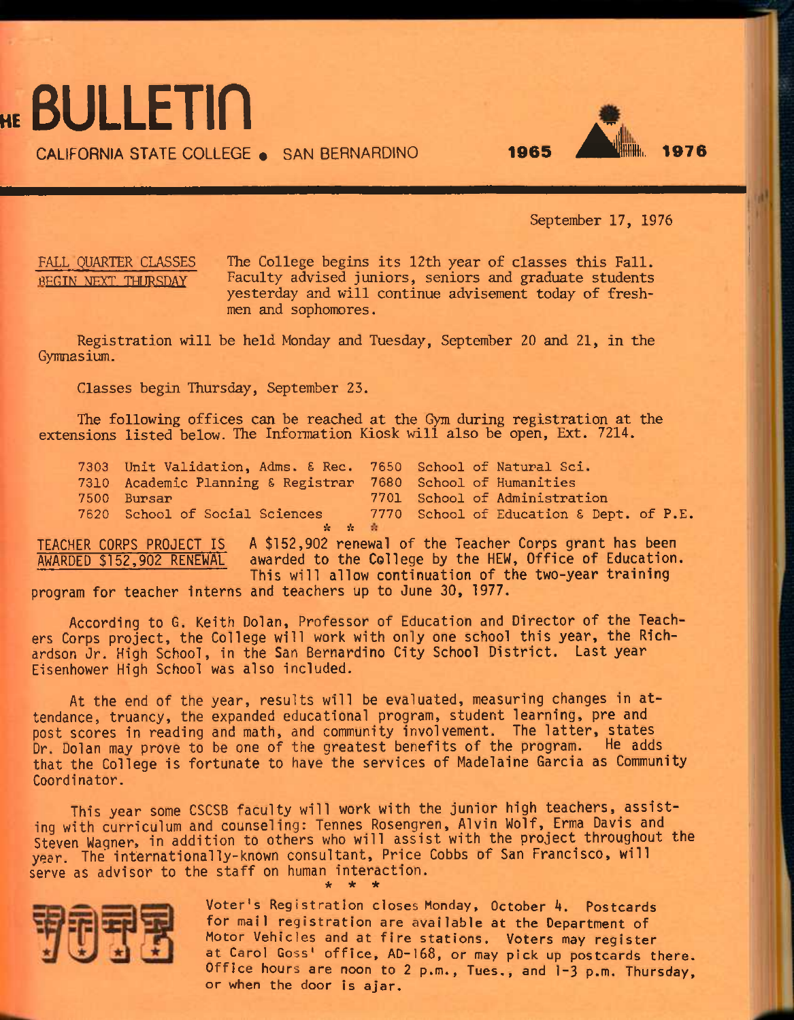**HE BULLETIN** 

**CALIFORNIA STATE COLLEGE . SAN BERNARDINO <b>1965** 

September 17, 1976

FALL QUARTER CLASSES The College begins its 12th year of classes this Fall. REGIN NEXT THURSDAY Faculty advised juniors, seniors and graduate students yesterday and will continue advisement today of freshmen and sophomores.

Registration will be held Monday and Tuesday, September 20 and 21, in the Gymnasium.

Classes begin Thursday, September 23.

The following offices can be reached at the Gym during registration at the extensions listed below. The Information Kiosk will also be open, Ext. 7214.

**7303 Unit Validation, Adms. £ Rec. 7650 School of Natural Sci.**  7310 Academic Planning & Registrar **7500 Bursar 7701 School of Administration 7620 School of Social Sciences 7770 School of Education £ Dept. of P.E.**   $\mathbf{x} = \mathbf{x}$ 

TEACHER CORPS PROJECT IS A \$152,902 renewal of the Teacher Corps grant has been AWARDED \$152,902 RENEWAL awarded to the College by the HEW, Office of Education. This will allow continuation of the two-year training program for teacher interns and teachers up to June 30, 1977.

According to G. Keith Dolan, Professor of Education and Director of the Teachers Corps project, the College will work with only one school this year, the Richardson Jr. High School, in the San Bernardino City School District. Last year Eisenhower High School was also included.

At the end of the year, results will be evaluated, measuring changes in attendance, truancy, the expanded educational program, student learning, pre and post scores in reading and math, and community involvement. The latter, states Dr. Dolan may prove to be one of the greatest benefits of the program. He adds\_ that the College is fortunate to have the services of Madelaine Garcia as Community Coordinator.

This year some CSCSB faculty will work with the junior high teachers, assisting with curriculum and counseling: Tennes Rosengren, Alvin Wolf, Erma Davis and Steven Wagner, in addition to others who will assist with the project throughout the year. The internationally-known consultant, Price Cobbs of San Francisco, will serve as advisor to the staff on human interaction. **\* \* \*** 



Voter's Registration closes Monday, October A. Postcards for mail registration are available at the Department of Motor Vehicles and at fire stations. Voters may register at Carol Goss' office, AD-168, or may pick up postcards there. Office hours are noon to 2 p.m., Tues., and 1-3 p.m. Thursday, or when the door is ajar.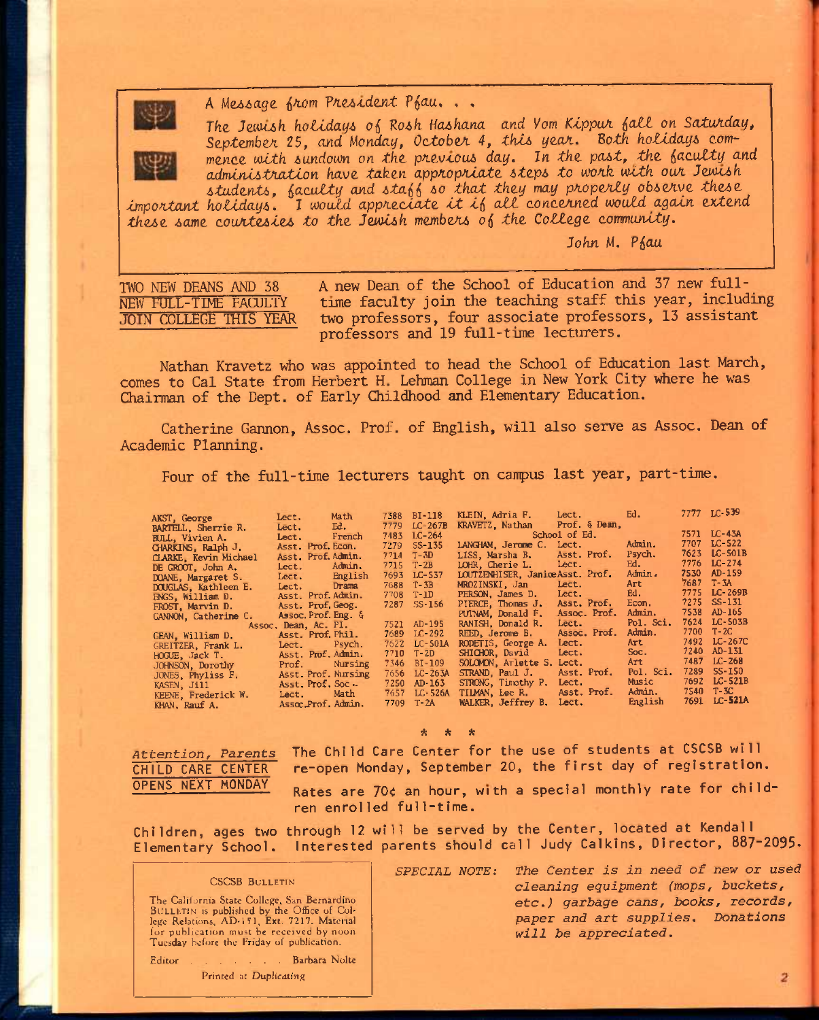

A Message from President Pfau...

The Jewish holidays of Rosh Hashana and Yom Kippur fall on Saturday. September 25, and Monday, October 4, this year. Both holidays commence with sundown on the previous day. In the past, the faculty and administration have taken appropriate steps to work with our Jewish students, faculty and staff so that they may properly observe these

important holidays. I would appreciate it if all concerned would again extend these same courtesies to the Jewish members of the College community.

John M. Phau

TWO NEW DEANS AND 38 NEW FULL-TIME FACULTY **JOIN COLLEGE THIS YEAR** 

A new Dean of the School of Education and 37 new fulltime faculty join the teaching staff this year, including two professors, four associate professors, 13 assistant professors and 19 full-time lecturers.

Nathan Kravetz who was appointed to head the School of Education last March, comes to Cal State from Herbert H. Lehman College in New York City where he was Chairman of the Dept. of Early Childhood and Elementary Education.

Catherine Gannon, Assoc. Prof. of English, will also serve as Assoc. Dean of Academic Planning.

Four of the full-time lecturers taught on campus last year, part-time.

| AKST, George          | Lect. Math           | 7388 BI-118   | KLEIN, Adria F. Lect.            |              | Ed.       | 7777 LC 539  |
|-----------------------|----------------------|---------------|----------------------------------|--------------|-----------|--------------|
| BARTELL, Sherrie R.   | Lect. Ed.            | 7779 LC-267B  | KRAVETZ Nathan Prof & Dean,      |              |           |              |
| BULL, Vivien A.       | Lect. French         | 7483 LC-264   | School of Ed.                    |              |           | 7571 LC-43A  |
|                       | Asst. Prof. Econ.    | 7279 SS-135   | LANGHAM, Jerome C.               | Lect.        | Admin.    | 7707 LC-522  |
| CHARKINS, Ralph J.    | Asst Prof. Admin.    | $7714$ T 3D   | LISS. Marsha B.                  | Asst. Prof.  | Psych.    | 7623 LC-501B |
| CLARKE, Kevin Michael |                      | 7715 T 2B     | LOHR, Cherie L. Lect.            |              | Ed.       | 7776 LC-274  |
| DE GROOT, John A.     | Lect. Admin.         |               | LOUTZENHISER, Janice Asst. Prof. |              | Admin.    | 7530 AD-159  |
| DOANE, Margaret S.    | Lect. English        | 7693 LC-537   |                                  |              | Art       | 7687 T-3A    |
| DOUGLAS, Kathleen E.  | Lect. Drama          | 7688 T-3B     | MROZINSKI, Jan                   | Lect.        |           | 7775 LC-269B |
| ENGS, William D.      | Asst Prof. Admin.    | 7708 T-1D     | PERSON, James D.                 | Lect.        | Ed.       | 7275 SS-131  |
| FROST, Marvin D.      | Asst Prof. Geog.     | $7287$ SS-156 | PIERCE, Thomas J.                | Asst. Prof.  | Econ.     |              |
| GANNON, Catherine C.  | Assoc. Prof. Eng. &  |               | PUTNAM, Donald F.                | Assoc. Prof. | Admin.    | 7538 AD-165  |
|                       | Assoc. Dean, Ac. PI. | 7521 AD-195   | RANISH, Donald R.                | Lect         | Pol. Sci. | 7624 LC-503B |
| GEAN, William D.      | Asst. Prof. Phil.    | 7689 LC-292   | REED, Jerome B.                  | Assoc. Prof. | Admin.    | 7700 T-2C    |
| GREITZER. Frank L.    | Lect Psych.          | 7622 LC-501A  | RODETIS, George A.               | Lect.        | Art       | 7492 LC-267C |
| HOGUE, Jack T.        | Asst. Prof. Admin.   | 7710 T-2D     | SHICHOR, David                   | Lect.        | Soc.      | 7240 AD-131  |
| JOHNSON, Dorothy      | Prof. Nursing        | 7346 BI-109   | SOLOMON, Arlette S.              | Lect.        | Art       | 7487 LC-268  |
| JONES, Phyliss F.     | Asst Prof. Nursing   | 7656 LC-263A  | STRAND, Paul J.                  | Asst. Prof.  | Pol. Sci. | 7289 SS-150  |
|                       | Asst Prof. Soc.      | 7250 AD-163   | STRONG, Timothy P.               | Lect.        | Music     | 7692 LC-521B |
| KASEN, Jill           | Lect Math            | 7657 LC-526A  | TILMAN, Lee R.                   | Asst. Prof.  | Admin. .  | 7540 T-3C    |
| KEENE, Frederick W.   |                      | 7709 T-2A     | WALKER, Jeffrey B.               | Lect.        | English   | 7691 LC-521A |
| KHAN, Rauf A.         | Assoc Prof Admin.    |               |                                  |              |           |              |

Attention, Parents CHILD CARE CENTER OPENS NEXT MONDAY

The Child Care Center for the use of students at CSCSB will re-open Monday, September 20, the first day of registration.

Rates are 70¢ an hour, with a special monthly rate for children enrolled full-time.

Children, ages two through 12 will be served by the Center, located at Kendall Elementary School. Interested parents should call Judy Calkins, Director, 887-2095.

### **CSCSB BULLETIN**

The California State College, San Bernardino<br>BULLETIN is published by the Office of College Relations, AD-151, Ext. 7217, Material for publication must be received by noon Tuesday before the Friday of publication.

. . . Barbara Nolte Editor<sub>1</sub>

Printed at Duplicating

SPECIAL NOTE: The Center is in need of new or used cleaning equipment (mops, buckets, etc.) garbage cans, books, records, paper and art supplies. Donations will be appreciated.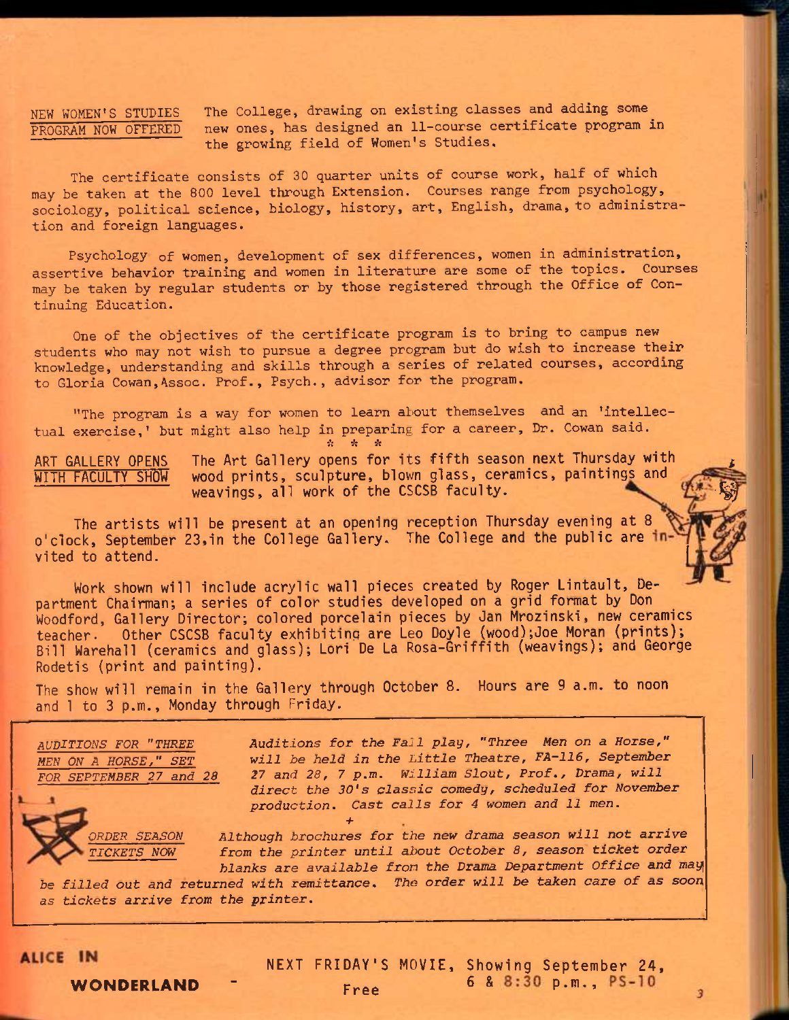**NEW WOMEN'S STUDIES The College, drawing on existing classes and adding some PROGRAM NOW OFFERED new ones, has designed an 11-course certificate program in the growing field of Women's Studies.** 

**The certificate consists of 30 quarter units of course work, half of which may be taken at the 800 level through Extension. Courses range from psychology, sociology, political science, biology, history, art, English, drama, to administration and foreign languages.** 

**Psychology of women, development of sex differences, women in administration, assertive behavior training and women in literature are some of the topics. Courses may be taken by regular students or by those registered through the Office of Continuing Education.** 

**One of the objectives of the certificate program is to bring to campus new students who may not wish to pursue a degree program but do wish to increase their knowledge, understanding and skills through a series of related courses, according to Gloria Cowan,Assoc. Prof., Psych., advisor for the program,** 

**"The program is a way for women to learn about themselves and an 'intellectual exercise,' but might also help in preparing for a career. Dr. Cowan said.**  *it it it* 

ART GALLERY OPENS The Art Gallery opens for its fifth season next Thursday with<br>WITH FACULTY SHOW wood prints, sculpture, blown glass, ceramics, paintings and WITH FACULTY SHOW wood prints, sculpture, blown glass, ceramics, paintings and The Art Gallery opens for its fifth season next inursday with<br>wood prints, sculpture, blown glass, ceramics, paintings and<br>weavings, all work of the CSCSB faculty.

The artists will be present at an opening reception Thursday evening at 8 o'clock, September 23, in the College Gallery. The College and the public are invited to attend. **<sup>I</sup>**

Work shown will include acrylic wall pieces created by Roger Lintault, Department Chairman; a series of color studies developed on a grid format by Don Woodford, Gallery Director; colored porcelain pieces by Jan Mrozinski, new ceramics teacher. Other CSCSB faculty exhibiting are Leo Doyle (wood);Joe Moran (prints); Bill Warehall (ceramics and glass); Lori De La Rosa-Griffith (weavings); and George Rodetis (print and painting).

The show will remain in the Gallery through October 8. Hours are 9 a.m. to noon and 1 to 3 p.m., Monday through Friday.

*AUDITIONS FOR "THREE MEN ON A HORSE," SET FOR SEPTEMBER 27 and 28* 

> **RDER SEASON** *TICKETS NOW*

**Auditions** *for the Fall play, "Three Men on a Horse," will be held in the Little Theatre, FA-116, September 27 and 28, 7 p.m. William Slout, Prof., Drama, will direct the 30's classic comedy, scheduled for November production. Cast calls for 4 women and 11 men. +* 

*Although brochures for the new drama season will not arrive from the printer until about October 8, season ticket order blanks are available fron the Drama Department Office and may* 

*be filled out and returned with remittance. The order will be taken care of as soon as tickets arrive from the printer.* 

**ALICE IN** 

NEXT FRIDAY'S MOVIE, Showing September 24,  $**Free**$  $**6** & 8:30 p.m., PS-10$ 

3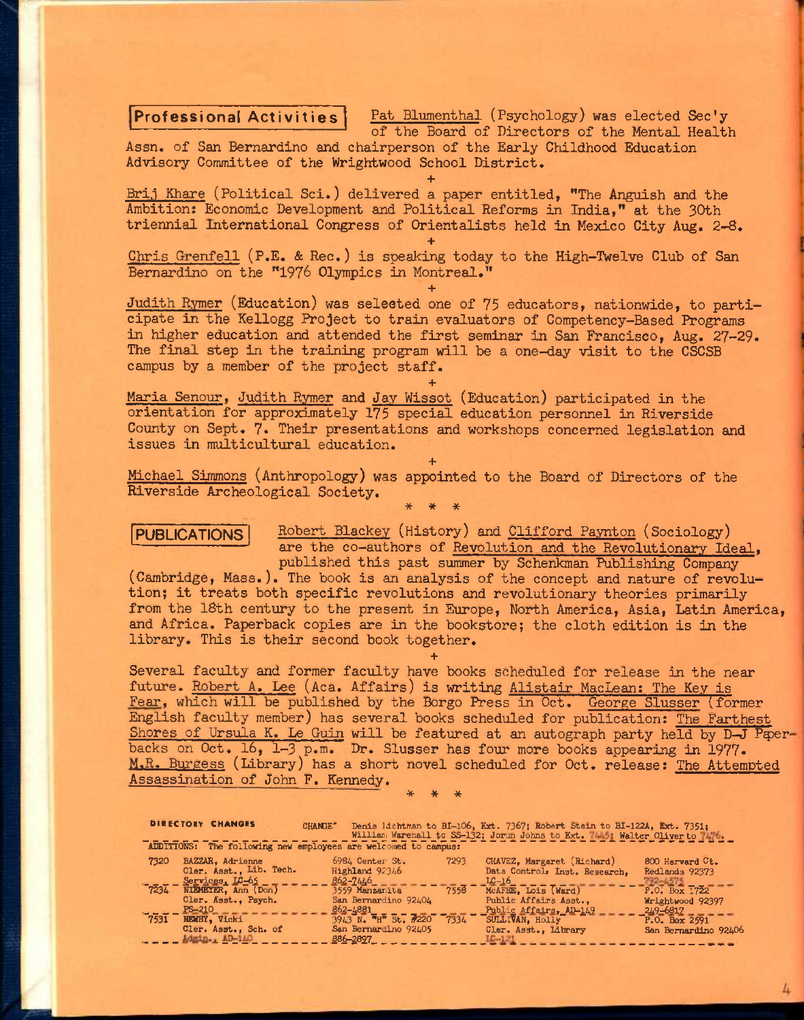### Professional Activities

Pat Blumenthal (Psychology) was elected Sec'y of the Board of Directors of the Mental Health

Assn. of San Bernardino and chairperson of the Early Childhood Education Advisory Committee of the Wrightwood School District.

**+**  Brij Khare (Political Sci.) delivered a paper entitled, "The Anguish and the Ambition: Economic Development and Political Reforms in India," at the 30th triennial International Congress of Orientalists held in Mexico City Aug. 2-8.

**+**  Chris Grenfell (P.E. & Rec.) is speaking today to the High-Twelve Club of San Bernardino on the "1976 Olympics in Montreal." **+** 

Judith Rymer (Education) was seleeted one of 75 educators, nationwide, to participate in the Kellogg Project to train evaluators of Competency-Based Programs in higher education and attended the first seminar in San Francisco, Aug. 27-29. The final step in the training program will be a one-day visit to the CSCSB campus by a member of the project staff.

Maria Senour, Judith Rymer and Jay Wissot (Education) participated in the orientation for approximately 175 special education personnel in Riverside County on Sept. 7. Their presentations and workshops concerned legislation and issues in multicultural education.

**+** 

**+**  Michael Simmons (Anthropology) was appointed to the Board of Directors of the Riverside Archeological Society. \* \* \*

## PUBLICATIONS

Robert Blackey (History) and Clifford Paynton (Sociology) are the co-authors of Revolution and the Revolutionary Ideal, published this past summer by Schenkman Publishing Company

(Cambridge, Mass.). The book is an analysis of the concept and nature of revolution; it treats both specific revolutions and revolutionary theories primarily from the 18th century to the present in Europe, North America, Asia, Latin America, and Africa. Paperback copies are in the bookstore; the cloth edition is in the library. This is their second book together.

**+** 

Several faculty and former faculty have books scheduled for release in the near future. Robert A. Lee (Aca. Affairs) is writing Alistair MacLean: The Key is Fear, which will be published by the Borgo Press in Oct. George Slusser (former English faculty member) has several books scheduled for publication: The Farthest Shores of Ursula K. Le Guin will be featured at an autograph party held by D-J Paperbacks on Oct. 16, 1-3 p.m. Dr. Slusser has four more books appearing in 1977. M.R. Burgess (Library) has a short novel scheduled for Oct. release: The Attempted Assassination of John F. Kennedy. \* \* \*

|      | <b>DIRECTORY CHANGES</b>                                                            | <b>CHANGE"</b>                                                 |      | Denis lichtman to BI-106, Ext. 7367; Robert Stein to BI-122A, Ext. 7351:<br>William Warehall to SS-132; Jorun Johns to Ext. 7445; Walter Oliver to 7476. |                                   |
|------|-------------------------------------------------------------------------------------|----------------------------------------------------------------|------|----------------------------------------------------------------------------------------------------------------------------------------------------------|-----------------------------------|
|      |                                                                                     | ADDITIONS: The following new employees are welcomed to campus: |      |                                                                                                                                                          |                                   |
| 7320 | BAZZAR, Adrienne<br>Cler. Asst., Lib. Tech.                                         | 6984 Center St.<br>Highland 92346                              | 7293 | CHAVEZ, Margaret (Richard)<br>Data Control, Inst. Research.                                                                                              | 800 Harvard Ct.<br>Redlands 92373 |
| 7234 | Services, LC-65<br>NIRMEYER, Ann (Don)<br>$\sim$ $\sim$ $\sim$ $\sim$ $\sim$ $\sim$ | 862-7446<br>3559 Manzanita<br><b>Change Change</b>             | 7558 | $LC-16$<br>MCAFEE, Lois (Ward)<br>____________                                                                                                           | 792–6375<br>P.0. Box 1722         |

Cler. Asst., Psych. San Bernardino 92404 Public Affairs Asst., \frightwood 92397  $P_{B-210} = \frac{128-210}{128-210}$  Vicki 2591  $\frac{128-248}{2943}$  N.  $\frac{128}{110}$  St.  $\frac{220}{17334}$   $\frac{1280}{17334}$   $\frac{1281}{12814}$   $\frac{1281}{12814}$   $\frac{1281}{12814}$   $\frac{1281}{12814}$   $\frac{1281}{12814}$   $\frac{1281}{12814}$   $\frac{$ Cler. Asst., Sch. of San Bernardino 92405 Cler. Asst., Library San Bernardino 92406